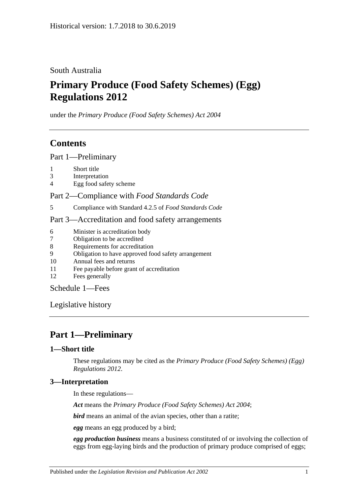South Australia

# **Primary Produce (Food Safety Schemes) (Egg) Regulations 2012**

under the *Primary Produce (Food Safety Schemes) Act 2004*

## **Contents**

Part [1—Preliminary](#page-0-0)

- 1 [Short title](#page-0-1)
- 3 [Interpretation](#page-0-2)
- 4 [Egg food safety scheme](#page-1-0)

Part 2—Compliance with *[Food Standards Code](#page-1-1)*

5 [Compliance with Standard](#page-1-2) 4.2.5 of *Food Standards Code*

### Part [3—Accreditation and food safety arrangements](#page-1-3)

- 6 [Minister is accreditation body](#page-1-4)
- 7 [Obligation to be accredited](#page-1-5)
- 8 [Requirements for accreditation](#page-1-6)
- 9 [Obligation to have approved food safety arrangement](#page-1-7)
- 10 [Annual fees and returns](#page-2-0)
- 11 [Fee payable before grant of accreditation](#page-2-1)
- 12 [Fees generally](#page-2-2)

[Schedule](#page-2-3) 1—Fees

[Legislative history](#page-3-0)

## <span id="page-0-0"></span>**Part 1—Preliminary**

### <span id="page-0-1"></span>**1—Short title**

These regulations may be cited as the *Primary Produce (Food Safety Schemes) (Egg) Regulations 2012*.

### <span id="page-0-2"></span>**3—Interpretation**

In these regulations—

*Act* means the *[Primary Produce \(Food Safety Schemes\) Act](http://www.legislation.sa.gov.au/index.aspx?action=legref&type=act&legtitle=Primary%20Produce%20(Food%20Safety%20Schemes)%20Act%202004) 2004*;

*bird* means an animal of the avian species, other than a ratite;

*egg* means an egg produced by a bird;

*egg production business* means a business constituted of or involving the collection of eggs from egg-laying birds and the production of primary produce comprised of eggs;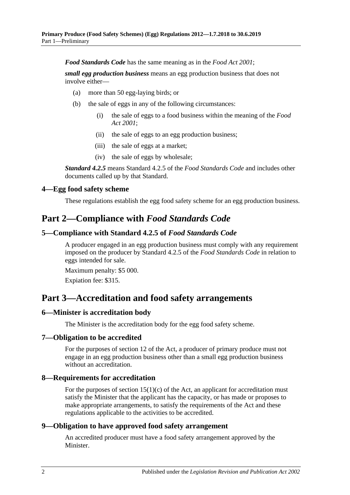*Food Standards Code* has the same meaning as in the *[Food Act](http://www.legislation.sa.gov.au/index.aspx?action=legref&type=act&legtitle=Food%20Act%202001) 2001*;

*small egg production business* means an egg production business that does not involve either—

- (a) more than 50 egg-laying birds; or
- (b) the sale of eggs in any of the following circumstances:
	- (i) the sale of eggs to a food business within the meaning of the *[Food](http://www.legislation.sa.gov.au/index.aspx?action=legref&type=act&legtitle=Food%20Act%202001)  Act [2001](http://www.legislation.sa.gov.au/index.aspx?action=legref&type=act&legtitle=Food%20Act%202001)*;
	- (ii) the sale of eggs to an egg production business;
	- (iii) the sale of eggs at a market;
	- (iv) the sale of eggs by wholesale;

*Standard 4.2.5* means Standard 4.2.5 of the *Food Standards Code* and includes other documents called up by that Standard.

#### <span id="page-1-0"></span>**4—Egg food safety scheme**

These regulations establish the egg food safety scheme for an egg production business.

## <span id="page-1-1"></span>**Part 2—Compliance with** *Food Standards Code*

#### <span id="page-1-2"></span>**5—Compliance with Standard 4.2.5 of** *Food Standards Code*

A producer engaged in an egg production business must comply with any requirement imposed on the producer by Standard 4.2.5 of the *Food Standards Code* in relation to eggs intended for sale.

Maximum penalty: \$5 000. Expiation fee: \$315.

## <span id="page-1-3"></span>**Part 3—Accreditation and food safety arrangements**

#### <span id="page-1-4"></span>**6—Minister is accreditation body**

The Minister is the accreditation body for the egg food safety scheme.

#### <span id="page-1-5"></span>**7—Obligation to be accredited**

For the purposes of section 12 of the Act, a producer of primary produce must not engage in an egg production business other than a small egg production business without an accreditation.

#### <span id="page-1-6"></span>**8—Requirements for accreditation**

For the purposes of section  $15(1)(c)$  of the Act, an applicant for accreditation must satisfy the Minister that the applicant has the capacity, or has made or proposes to make appropriate arrangements, to satisfy the requirements of the Act and these regulations applicable to the activities to be accredited.

#### <span id="page-1-7"></span>**9—Obligation to have approved food safety arrangement**

An accredited producer must have a food safety arrangement approved by the Minister.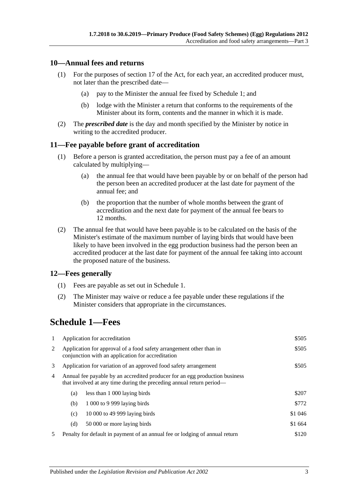#### <span id="page-2-0"></span>**10—Annual fees and returns**

- (1) For the purposes of section 17 of the Act, for each year, an accredited producer must, not later than the prescribed date—
	- (a) pay to the Minister the annual fee fixed by Schedule 1; and
	- (b) lodge with the Minister a return that conforms to the requirements of the Minister about its form, contents and the manner in which it is made.
- (2) The *prescribed date* is the day and month specified by the Minister by notice in writing to the accredited producer.

#### <span id="page-2-1"></span>**11—Fee payable before grant of accreditation**

- (1) Before a person is granted accreditation, the person must pay a fee of an amount calculated by multiplying—
	- (a) the annual fee that would have been payable by or on behalf of the person had the person been an accredited producer at the last date for payment of the annual fee; and
	- (b) the proportion that the number of whole months between the grant of accreditation and the next date for payment of the annual fee bears to 12 months.
- (2) The annual fee that would have been payable is to be calculated on the basis of the Minister's estimate of the maximum number of laying birds that would have been likely to have been involved in the egg production business had the person been an accredited producer at the last date for payment of the annual fee taking into account the proposed nature of the business.

#### <span id="page-2-2"></span>**12—Fees generally**

- (1) Fees are payable as set out in Schedule 1.
- (2) The Minister may waive or reduce a fee payable under these regulations if the Minister considers that appropriate in the circumstances.

## <span id="page-2-3"></span>**Schedule 1—Fees**

| -1             |                                                                                                                                                     | Application for accreditation                                               | \$505   |
|----------------|-----------------------------------------------------------------------------------------------------------------------------------------------------|-----------------------------------------------------------------------------|---------|
| 2              | Application for approval of a food safety arrangement other than in<br>conjunction with an application for accreditation                            | \$505                                                                       |         |
| 3              | Application for variation of an approved food safety arrangement                                                                                    | \$505                                                                       |         |
| $\overline{4}$ | Annual fee payable by an accredited producer for an egg production business<br>that involved at any time during the preceding annual return period— |                                                                             |         |
|                | (a)                                                                                                                                                 | less than 1 000 laying birds                                                | \$207   |
|                | (b)                                                                                                                                                 | 1 000 to 9 999 laying birds                                                 | \$772   |
|                | (c)                                                                                                                                                 | 10 000 to 49 999 laying birds                                               | \$1 046 |
|                | (d)                                                                                                                                                 | 50 000 or more laying birds                                                 | \$1 664 |
| 5              |                                                                                                                                                     | Penalty for default in payment of an annual fee or lodging of annual return | \$120   |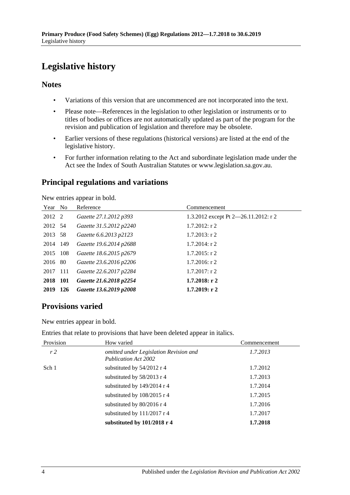# <span id="page-3-0"></span>**Legislative history**

### **Notes**

- Variations of this version that are uncommenced are not incorporated into the text.
- Please note—References in the legislation to other legislation or instruments or to titles of bodies or offices are not automatically updated as part of the program for the revision and publication of legislation and therefore may be obsolete.
- Earlier versions of these regulations (historical versions) are listed at the end of the legislative history.
- For further information relating to the Act and subordinate legislation made under the Act see the Index of South Australian Statutes or www.legislation.sa.gov.au.

### **Principal regulations and variations**

New entries appear in bold.

| Year No  |            | Reference               | Commencement                         |
|----------|------------|-------------------------|--------------------------------------|
| 2012 2   |            | Gazette 27.1.2012 p393  | 1.3.2012 except Pt 2-26.11.2012: r 2 |
| 2012 54  |            | Gazette 31.5.2012 p2240 | $1.7.2012$ : r 2                     |
| 2013 58  |            | Gazette 6.6.2013 p2123  | $1.7.2013$ : r 2                     |
| 2014 149 |            | Gazette 19.6.2014 p2688 | $1.7.2014$ : r 2                     |
| 2015 108 |            | Gazette 18.6.2015 p2679 | $1.7.2015$ : r 2                     |
| 2016 80  |            | Gazette 23.6.2016 p2206 | $1.7.2016$ : r 2                     |
| 2017 111 |            | Gazette 22.6.2017 p2284 | $1.7.2017$ : r 2                     |
| 2018 101 |            | Gazette 21.6.2018 p2254 | $1.7.2018:$ r 2                      |
| 2019     | <b>126</b> | Gazette 13.6.2019 p2008 | 1.7.2019: r2                         |

### **Provisions varied**

New entries appear in bold.

Entries that relate to provisions that have been deleted appear in italics.

| Provision      | How varied                                                            | Commencement |
|----------------|-----------------------------------------------------------------------|--------------|
| r <sub>2</sub> | omitted under Legislation Revision and<br><b>Publication Act 2002</b> | 1.7.2013     |
| Sch 1          | substituted by $54/2012$ r 4                                          | 1.7.2012     |
|                | substituted by 58/2013 r 4                                            | 1.7.2013     |
|                | substituted by 149/2014 r 4                                           | 1.7.2014     |
|                | substituted by $108/2015$ r 4                                         | 1.7.2015     |
|                | substituted by $80/2016$ r 4                                          | 1.7.2016     |
|                | substituted by $111/2017$ r 4                                         | 1.7.2017     |
|                | substituted by 101/2018 r 4                                           | 1.7.2018     |